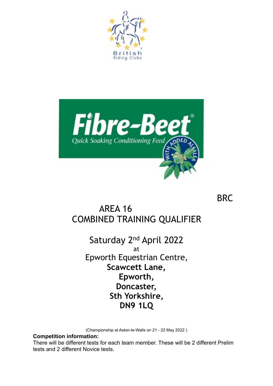



BRC

# AREA 16 COMBINED TRAINING QUALIFIER

Saturday 2nd April 2022 at Epworth Equestrian Centre, **Scawcett Lane, Epworth, Doncaster, Sth Yorkshire, DN9 1LQ** 

(Championship at Aston-le-Walls on 21 - 22 May 2022 )

**Competition information:** 

There will be different tests for each team member. These will be 2 different Prelim tests and 2 different Novice tests.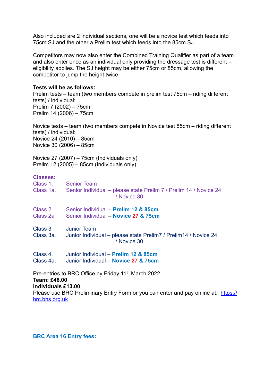Also included are 2 individual sections, one will be a novice test which feeds into 75cm SJ and the other a Prelim test which feeds into the 85cm SJ.

Competitors may now also enter the Combined Training Qualifier as part of a team and also enter once as an individual only providing the dressage test is different – eligibility applies. The SJ height may be either 75cm or 85cm, allowing the competitor to jump the height twice.

### **Tests will be as follows:**

Prelim tests – team (two members compete in prelim test 75cm – riding different tests) / individual: Prelim 7 (2002) – 75cm Prelim 14 (2006) – 75cm

Novice tests – team (two members compete in Novice test 85cm – riding different tests) / individual: Novice 24 (2010) – 85cm Novice 30 (2006) – 85cm

Novice 27 (2007) – 75cm (Individuals only) Prelim 12 (2005) – 85cm (Individuals only)

# **Classes:**

| Class 1.<br>Class 1a.                                            | <b>Senior Team</b><br>Senior Individual – please state Prelim 7 / Prelim 14 / Novice 24<br>/ Novice 30 |
|------------------------------------------------------------------|--------------------------------------------------------------------------------------------------------|
| Class 2.<br>Class 2a                                             | Senior Individual - Prelim 12 & 85cm<br>Senior Individual - Novice 27 & 75cm                           |
| Class 3<br>Class 3a.                                             | <b>Junior Team</b><br>Junior Individual – please state Prelim 7 / Prelim 14 / Novice 24<br>/ Novice 30 |
| Class 4.<br>Class 4a.                                            | Junior Individual - Prelim 12 & 85cm<br>Junior Individual – Novice 27 & 75cm                           |
| Pre-entries to BRC Office by Friday 11 <sup>th</sup> March 2022. |                                                                                                        |

#### **Team: £46.00 Individuals £13.00**

[Please use BRC Preliminary Entry Form or you can enter and pay online at: https://](https://brc.bhs.org.uk/) brc.bhs.org.uk

#### **BRC Area 16 Entry fees:**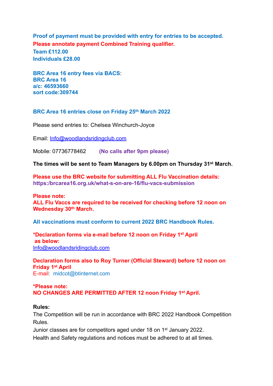**Proof of payment must be provided with entry for entries to be accepted. Please annotate payment Combined Training qualifier.**

**Team £112.00 Individuals £28.00** 

**BRC Area 16 entry fees via BACS**: **BRC Area 16 a/c: 46593660 sort code:309744** 

## **BRC Area 16 entries close on Friday 25th March 2022**

Please send entries to: Chelsea Winchurch-Joyce

Email: [Info@woodlandsridingclub.com](mailto:Info@woodlandsridingclub.com)

Mobile: 07736778462 **(No calls after 9pm please)**

**The times will be sent to Team Managers by 6.00pm on Thursday 31st March.** 

**Please use the BRC website for submitting ALL Flu Vaccination details: https:/brcarea16.org.uk/what-s-on-are-16/flu-vacs-submission** 

**Please note: ALL Flu Vaccs are required to be received for checking before 12 noon on Wednesday 30th March.** 

**All vaccinations must conform to current 2022 BRC Handbook Rules.**

**\*Declaration forms via e-mail before 12 noon on Friday 1st April as below:**  [Info@woodlandsridingclub.com](mailto:Info@woodlandsridingclub.com)

**Declaration forms also to Roy Turner (Official Steward) before 12 noon on Friday 1st April**  E-mail: midcot@btinternet.com

### **\*Please note: NO CHANGES ARE PERMITTED AFTER 12 noon Friday 1st April.**

#### **Rules:**

The Competition will be run in accordance with BRC 2022 Handbook Competition Rules.

Junior classes are for competitors aged under 18 on 1st January 2022. Health and Safety regulations and notices must be adhered to at all times.